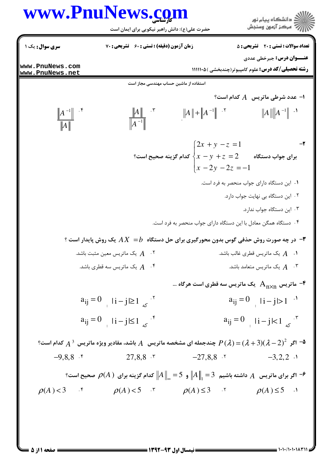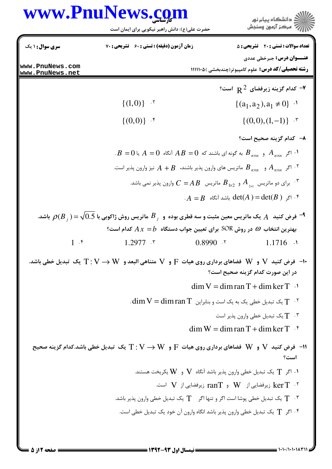## www.PnuNews.com

|                                                                                                                                                                            | www.PnuNews.com<br>حضرت علی(ع): دانش راهبر نیکویی برای ایمان است                                                                                                                                                             |            | دانشگاه پيام نور $\ge$<br>ر آمرڪز آزمون وسنڊش                                                  |  |
|----------------------------------------------------------------------------------------------------------------------------------------------------------------------------|------------------------------------------------------------------------------------------------------------------------------------------------------------------------------------------------------------------------------|------------|------------------------------------------------------------------------------------------------|--|
| سری سوال : ۱ یک                                                                                                                                                            | زمان آزمون (دقیقه) : تستی : 60 ٪ تشریحی : 70                                                                                                                                                                                 |            | <b>تعداد سوالات : تستی : 20 ٪ تشریحی : 5</b>                                                   |  |
| www.PnuNews.com<br>www.PnuNews.net                                                                                                                                         |                                                                                                                                                                                                                              |            | <b>عنـــوان درس:</b> جبرخطي عددي<br><b>رشته تحصیلی/کد درس:</b> علوم کامپیوتر(چندبخشی )۱۱۱۱۰۵ ( |  |
|                                                                                                                                                                            |                                                                                                                                                                                                                              |            | $\cdot$ کدام گزینه زیرفضای $\,$ R $^2$ است $\,$                                                |  |
|                                                                                                                                                                            | $\{(1,0)\}$ .                                                                                                                                                                                                                |            | $\{(a_1, a_2), a_1 \neq 0\}$ <sup>1</sup>                                                      |  |
|                                                                                                                                                                            | $\{(0,0)\}$ .*                                                                                                                                                                                                               |            | $\{(0,0),(1,-1)\}$ .                                                                           |  |
|                                                                                                                                                                            |                                                                                                                                                                                                                              |            | ٨–۔ کدام گزینه صحیح است؟                                                                       |  |
| $B = 0$ ۰۱ اگر $A_{n \times n}$ و $B_{n \times n}$ به گونه ای باشند که $A = 0$ آنگاه $A = 0$ یا $A_{n \times n}$                                                           |                                                                                                                                                                                                                              |            |                                                                                                |  |
|                                                                                                                                                                            | اگر $A_{n\times n}$ و $B_{n\times n}$ ماتریس های وارون پذیر باشند، $A+B$ نیز وارون پذیر است. $^{\mathsf{y}}$                                                                                                                 |            |                                                                                                |  |
|                                                                                                                                                                            | برای دو ماتریس $\begin{bmatrix} A_{1\times 2} & A_{2\times 1} \end{bmatrix}$ ماتریس $\begin{bmatrix} B_{1\times 2} & B_{2\times 1} \end{bmatrix}$ وارون پذیر نمی باشد. $\begin{bmatrix} \cdot & \cdot & \cdot \end{bmatrix}$ |            |                                                                                                |  |
|                                                                                                                                                                            |                                                                                                                                                                                                                              |            | $\cdot A = B$ اگر $\det(A) = \det(B)$ باشد آنگاه $\cdot$                                       |  |
|                                                                                                                                                                            | فرض کنید $A$ یک ماتریس معین مثبت و سه قطری بوده و $B_{\,j}$ ماتریس روش ژاکوبی با $\sqrt{0.5}$ با $\sim$ باشد. $^{}$                                                                                                          |            |                                                                                                |  |
|                                                                                                                                                                            | بهترین انتخاب $\omega$ در روش SOR برای تعیین جواب دستگاه $A\,x=b$ کدام است؟                                                                                                                                                  |            |                                                                                                |  |
| $1 \cdot$ f                                                                                                                                                                | $1.2977$ $\cdot$                                                                                                                                                                                                             | $0.8990$ . | $1.1716$ $\cdot$                                                                               |  |
| -۱۰- فرض كنيد $\rm V$ و $\rm W$ فضاهاي برداري روي هيات $\rm F$ و $\rm V$ متناهي البعد و $\rm W \to T : \rm V \to T$ يك تبديل خطي باشد.<br>در این صورت کدام گزینه صحیح است؟ |                                                                                                                                                                                                                              |            |                                                                                                |  |
|                                                                                                                                                                            | $\dim V = \dim \text{ran } T + \dim \ker T$ .                                                                                                                                                                                |            |                                                                                                |  |
| $\dim V = \dim \mathrm{ran}\, T$ یک تبدیل خطی یک به یک است و بنابراین $\mathrm{T} \cdot \mathrm{N}$ .                                                                      |                                                                                                                                                                                                                              |            |                                                                                                |  |
| $\mathbb{T}$ یک تبدیل خطی وارون پذیر است "                                                                                                                                 |                                                                                                                                                                                                                              |            |                                                                                                |  |
| $\dim W = \dim \operatorname{ran} T + \dim \ker T$ .                                                                                                                       |                                                                                                                                                                                                                              |            |                                                                                                |  |
| ا = فرض كنيد V و W فضاهاي برداري روي هيات $\rm F$ و $\rm W \to T : V \to T : V \to T$ يك تبديل خطي باشد.كدام گزينه صحيح<br>است؟                                            |                                                                                                                                                                                                                              |            |                                                                                                |  |
| ۰۱ اگر $\rm T$ یک تبدیل خطی وارون پذیر باشد آنگاه $\rm V$ و $\rm W$ یکریخت هستند. $\rm t$                                                                                  |                                                                                                                                                                                                                              |            |                                                                                                |  |
| نیرفضایی از $W$ و $\rm{ran}$ زیرفضایی از $\rm{ker}\,T$ است. $\rm{ker}\,T$                                                                                                  |                                                                                                                                                                                                                              |            |                                                                                                |  |
| ۰۳ $\top$ یک تبدیل خطی یوشا است اگر و تنها اگر $\top$ یک تبدیل خطی وارون پذیر باشد. $\top$                                                                                 |                                                                                                                                                                                                                              |            |                                                                                                |  |
|                                                                                                                                                                            | ۰۴ اگر      T   یک تبدیل خطی وارون پذیر باشد انگاه وارون آن خود یک تبدیل خطی است.                                                                                                                                            |            |                                                                                                |  |
|                                                                                                                                                                            |                                                                                                                                                                                                                              |            |                                                                                                |  |

1.1./1.1.183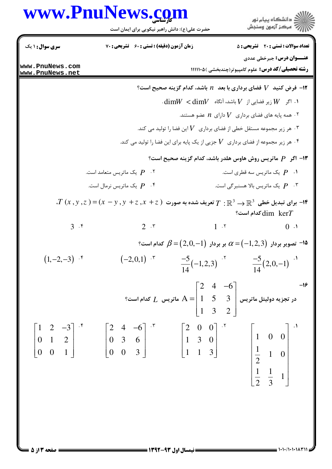## www.PnuNews.com

ار<br>اگر دانشگاه پیام نور<br>اگر مرکز آزمون وسنجش حضرت علی(ع): دانش راهبر نیکویی برای ایمان است **تعداد سوالات : تستی : 20 - تشریحی : 5 سری سوال : ۱ یک** زمان آزمون (دقیقه) : تستی : ۶۰٪ تشریحی : ۷۰ **عنــوان درس:** جبرخطي عددي www.PnuNews.com **رشته تحصیلی/کد درس:** علوم کامپیوتر(چندبخشی )۱۱۱۱۱۰۵ www.PnuNews.net ا فرض کنید  $V$  فضای برداری با بعد  $n$  باشد، کدام گزینه صحیح است؟ $\blacksquare$  $\dim W < \dim V$  : اگر  $W \in V$  زیر فضایی از  $V$  باشد، آنگاه  $W$ ۰۲ همه یایه های فضای برداری  $V$  دارای  $n$  عضو هستند.  $^\mathsf{r}$ ۰۳ هر زیر مجموعه مستقل خطی از فضای برداری  $V$  این فضا را تولید می کند.  $^\circ$ ۰۴ هر زیر مجموعه از فضای برداری  $V$  جزیی از یک پایه برای این فضا را تولید می کند.  $\cdot$ ا– اگر  $P$  ماتریس روش هاوس هلدر باشد، کدام گزینه صحیح است؟ $\blacksquare$ یک ماتریس سه قطری است.  $P$ -  $P$  -  $\mathcal{P}$  - یک ماتریس متعامد است. یک ماتریس بالا هسنبر *گی* است.  $P$ یک ماتریس نرمال است.  $P$  $T(x,y,z)=(x-y,y+z,x+z)$  برای تبدیل خطی  $\mathbb{R}^3\to\mathbb{R}^3$  تعریف شده به صورت  $T:\mathbb{R}^3\to\mathbb{R}^3$  $\mathop{\text{dim}}$   $\mathop{\text{ker}} T$  $2.5$  $1.7$  $3.5$  $0.1$ <sup>1</sup>۵ <sup>–</sup> تصویر بردار  $\alpha$  (−1,2,3) بر بردار  $\beta$  =(2,0,−1) کدام است؟  $(1,-2,-3)$  .\*  $(-2,0,1)$   $\cdot$   $\cdot$  $\frac{-5}{14}(-1,2,3)$   $\frac{-5}{14}(2,0,-1)$ در تجزیه دولیتل ماتریس  $A = \begin{bmatrix} 2 & 4 & -6 \ 1 & 5 & 3 \ 1 & 3 & 2 \end{bmatrix}$ ماتریس  $L$  کدام است؟  $\begin{bmatrix} 1 & 2 & -3 \\ 0 & 1 & 2 \\ 0 & 0 & 1 \end{bmatrix}$   $\begin{bmatrix} 2 & 4 & -6 \\ 0 & 3 & 6 \\ 0 & 0 & 3 \end{bmatrix}$   $\begin{bmatrix} 2 & 0 & 0 \\ 1 & 3 & 0 \\ 1 & 1 & 3 \end{bmatrix}$  $\begin{bmatrix} 1 & 0 & 0 \\ \frac{1}{2} & 1 & 0 \end{bmatrix}$  $rac{1}{2}$   $rac{1}{3}$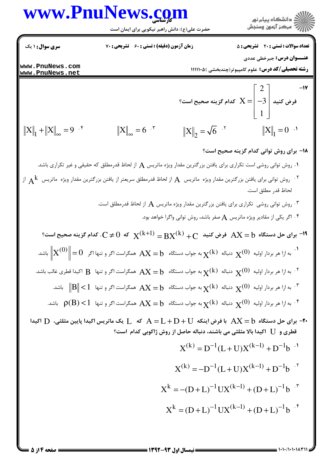## www.PnuNews.com



حضرت علی(ع): دانش راهبر نیکویی برای ایمان است

**تعداد سوالات : تستی : 20 - تشریحی : 5 سری سوال : ۱ یک** زمان آزمون (دقیقه) : تستی : 60 تشریحی : 70 **عنــوان درس:** جبرخطي عددي www.PnuNews.com **رشته تحصیلی/کد درس:** علوم کامپیوتر(چندبخشی )۱۱۱۱۱۰۵ www.PnuNews.net  $-1V$ فرض کنید  $\left| \begin{array}{c|c} \mathbf{z} & -\mathbf{z} \ -3 & \end{array} \right|$  کدام گزینه صحیح است؟  $||X||_1 + ||X||_2 = 9$   $.5$  $||X||_{\infty} = 6$   $\cdot$   $\cdot$  $||X||_{2} = \sqrt{6}$ .  $||X||_1 = 0$ **۱۸- برای روش توانی کدام گزینه صحیح است؟** ۰۱ روش توانی روشی است تکراری برای یافتن بزرگترین مقدار ویژه ماتریس  $\rm A$  از لحاظ قدرمطلق که حقیقی و غیر تکراری باشد.  $\rm A$ ر از مش توانی برای یافتن بزرگترین مقدار ویژه ماتریس  $\rm A$  از لحاظ قدرمطلق سریعتر از یافتن بزرگترین مقدار ویژه ماتریس  $\rm A$  از  $\rm A$ لحاظ قدر مطلق است. ۰۳ . روش توانی روشی تکراری برای یافتن بزرگترین مقدار ویژه ماتریس  $\mathbf A$  از لحاظ قدرمطلق است. ۰۴ اگر یکی از مقادیر ویژه ماتریس A صفر باشد، روش توانی واگرا خواهد بود. ا  $\rm X$ لا می کنید  $\rm X=0$  خرض کنید  $\rm X^{(k)}$  و  $\rm X^{(k+1)}=\rm B X^{(k)}$  است؟  $\rm A X=0$  که است؟  $\rm A X=0$ به ازا هر بردار اولیه  $\chi^{(0)}$  دنباله  $\chi^{(k)}$  به جواب دستگاه  $X=b$  همگراست اگر و تنها اگر  $\left\|X^{(0)}\right\| = 0$  باشد.  $\chi^{(0)}$ ۰۲ . به ازا هر بردار اولیه  $\mathbf{x}^{(0)}$  دنباله  $\mathbf{x}^{(k)}$  به جواب دستگاه  $\mathbf{X} = \mathbf{b}$  همگراست اگر و تنها  $\mathbf{B}$  اکیدا قطری غالب باشد. به ازا هر بردار اولیه  $\mathbf{x}^{(0)}$  دنباله  $\mathbf{x}^{(k)}$  به جواب دستگاه  $\mathbf{X} = \mathbf{b}$  همگراست اگر و تنها  $\|\mathbf{s}\| < \|\mathbf{B}\|$  باشد.  $^{\mathbf{v}}$ به ازا هر بردار اولیه  $\mathbf{x}^{(0)}$  دنباله  $\mathbf{x}^{(k)}$  به جواب دستگاه  $\mathbf{X} = \mathbf{b}$  همگراست اگر و تنها  $\mathbf{p}^{(s)}$  باشد.  $^{\mathfrak{f}}$ با فرض اینکه  $\rm{AX} = \rm{D} + \rm{D} + \rm{D} + \rm{D}$  با فرض اینکه  $\rm{D} + \rm{D} + \rm{D} + \rm{D} + \rm{D}$  که  $\rm{L}$  یک ماتریس اکیدا پایین مثلثی،  $\rm{D}$  اکیدا  $\rm{N}$ قطری و IJ اکیدا بالا مثلثی می باشند، دنباله حاصل از روش ژاکوبی کدام است؟  $X^{(k)} = D^{-1}(L+U)X^{(k-1)} + D^{-1}b$  $X^{(k)} = -D^{-1}(L+U)X^{(k-1)} + D^{-1}b$ .  $X^{k} = -(D + L)^{-1} U X^{(k-1)} + (D + L)^{-1} b$  $X^{k} = (D + L)^{-1} U X^{(k-1)} + (D + L)^{-1} b$ 

 $= 1.11 / 1.111$